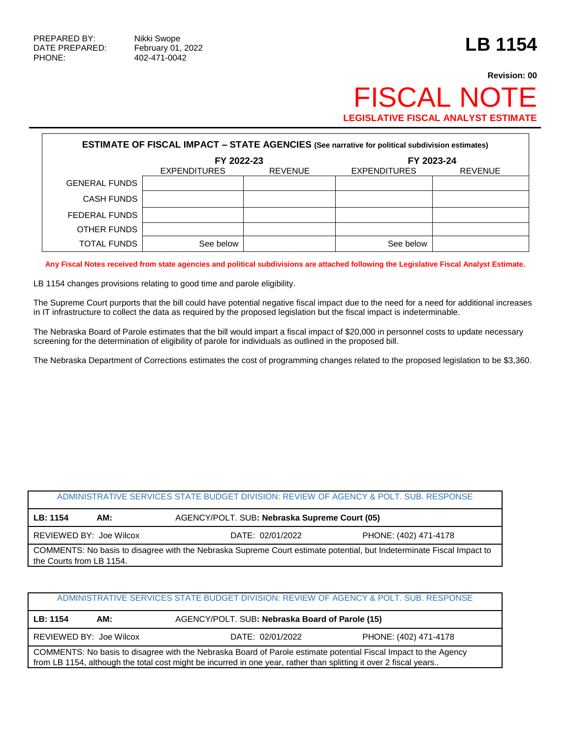PHONE: 402-471-0042

## **Revision: 00 FISCAL NO LEGISLATIVE FISCAL ANALYST ESTIMATE**

| <b>ESTIMATE OF FISCAL IMPACT - STATE AGENCIES (See narrative for political subdivision estimates)</b> |                     |                |                     |                |  |
|-------------------------------------------------------------------------------------------------------|---------------------|----------------|---------------------|----------------|--|
|                                                                                                       | FY 2022-23          |                |                     | FY 2023-24     |  |
|                                                                                                       | <b>EXPENDITURES</b> | <b>REVENUE</b> | <b>EXPENDITURES</b> | <b>REVENUE</b> |  |
| <b>GENERAL FUNDS</b>                                                                                  |                     |                |                     |                |  |
| <b>CASH FUNDS</b>                                                                                     |                     |                |                     |                |  |
| FEDERAL FUNDS                                                                                         |                     |                |                     |                |  |
| OTHER FUNDS                                                                                           |                     |                |                     |                |  |
| <b>TOTAL FUNDS</b>                                                                                    | See below           |                | See below           |                |  |

**Any Fiscal Notes received from state agencies and political subdivisions are attached following the Legislative Fiscal Analyst Estimate.**

LB 1154 changes provisions relating to good time and parole eligibility.

The Supreme Court purports that the bill could have potential negative fiscal impact due to the need for a need for additional increases in IT infrastructure to collect the data as required by the proposed legislation but the fiscal impact is indeterminable.

The Nebraska Board of Parole estimates that the bill would impart a fiscal impact of \$20,000 in personnel costs to update necessary screening for the determination of eligibility of parole for individuals as outlined in the proposed bill.

The Nebraska Department of Corrections estimates the cost of programming changes related to the proposed legislation to be \$3,360.

## ADMINISTRATIVE SERVICES STATE BUDGET DIVISION: REVIEW OF AGENCY & POLT. SUB. RESPONSE

| LB: 1154                                                                                                                                          | AM: |                  | AGENCY/POLT. SUB: Nebraska Supreme Court (05) |  |  |  |  |
|---------------------------------------------------------------------------------------------------------------------------------------------------|-----|------------------|-----------------------------------------------|--|--|--|--|
| REVIEWED BY: Joe Wilcox                                                                                                                           |     | DATE: 02/01/2022 | PHONE: (402) 471-4178                         |  |  |  |  |
| COMMENTS: No basis to disagree with the Nebraska Supreme Court estimate potential, but Indeterminate Fiscal Impact to<br>the Courts from LB 1154. |     |                  |                                               |  |  |  |  |

| ADMINISTRATIVE SERVICES STATE BUDGET DIVISION: REVIEW OF AGENCY & POLT. SUB. RESPONSE                                                                                                                                                |     |                                                 |  |  |  |
|--------------------------------------------------------------------------------------------------------------------------------------------------------------------------------------------------------------------------------------|-----|-------------------------------------------------|--|--|--|
| LB: 1154                                                                                                                                                                                                                             | AM: | AGENCY/POLT. SUB: Nebraska Board of Parole (15) |  |  |  |
| PHONE: (402) 471-4178<br>REVIEWED BY: Joe Wilcox<br>DATE: 02/01/2022                                                                                                                                                                 |     |                                                 |  |  |  |
| COMMENTS: No basis to disagree with the Nebraska Board of Parole estimate potential Fiscal Impact to the Agency<br>from LB 1154, although the total cost might be incurred in one year, rather than splitting it over 2 fiscal years |     |                                                 |  |  |  |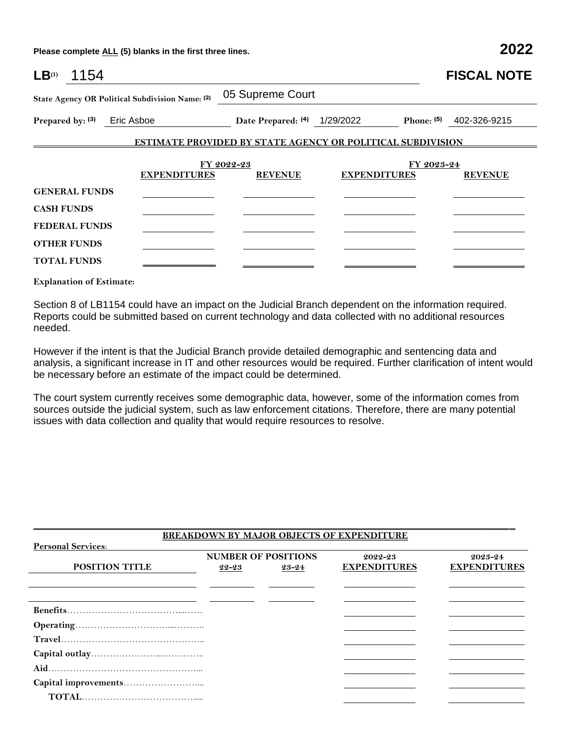**Please complete ALL (5) blanks in the first three lines. 2022**

| LB <sup>(1)</sup><br>1154 |                                                 |                                                                   |                     |              | <b>FISCAL NOTE</b> |
|---------------------------|-------------------------------------------------|-------------------------------------------------------------------|---------------------|--------------|--------------------|
|                           | State Agency OR Political Subdivision Name: (2) | 05 Supreme Court                                                  |                     |              |                    |
| Prepared by: (3)          | Eric Asboe                                      | Date Prepared: (4) 1/29/2022                                      |                     | Phone: $(5)$ | 402-326-9215       |
|                           |                                                 | <b>ESTIMATE PROVIDED BY STATE AGENCY OR POLITICAL SUBDIVISION</b> |                     |              |                    |
|                           |                                                 | FY 2022-23                                                        |                     | FY 2023-24   |                    |
|                           | <b>EXPENDITURES</b>                             | <b>REVENUE</b>                                                    | <b>EXPENDITURES</b> |              | <b>REVENUE</b>     |
| <b>GENERAL FUNDS</b>      |                                                 |                                                                   |                     |              |                    |
| <b>CASH FUNDS</b>         |                                                 |                                                                   |                     |              |                    |
| <b>FEDERAL FUNDS</b>      |                                                 |                                                                   |                     |              |                    |
| <b>OTHER FUNDS</b>        |                                                 |                                                                   |                     |              |                    |
| <b>TOTAL FUNDS</b>        |                                                 |                                                                   |                     |              |                    |

**Explanation of Estimate:**

Section 8 of LB1154 could have an impact on the Judicial Branch dependent on the information required. Reports could be submitted based on current technology and data collected with no additional resources needed.

However if the intent is that the Judicial Branch provide detailed demographic and sentencing data and analysis, a significant increase in IT and other resources would be required. Further clarification of intent would be necessary before an estimate of the impact could be determined.

The court system currently receives some demographic data, however, some of the information comes from sources outside the judicial system, such as law enforcement citations. Therefore, there are many potential issues with data collection and quality that would require resources to resolve.

|                           |       |                            | <b>BREAKDOWN BY MAJOR OBJECTS OF EXPENDITURE</b> |                     |
|---------------------------|-------|----------------------------|--------------------------------------------------|---------------------|
| <b>Personal Services:</b> |       |                            |                                                  |                     |
|                           |       | <b>NUMBER OF POSITIONS</b> | 2022-23                                          | 2023-24             |
| <b>POSITION TITLE</b>     | 22-23 | 23-24                      | <b>EXPENDITURES</b>                              | <b>EXPENDITURES</b> |
|                           |       |                            |                                                  |                     |
|                           |       |                            |                                                  |                     |
|                           |       |                            |                                                  |                     |
|                           |       |                            |                                                  |                     |
|                           |       |                            |                                                  |                     |
|                           |       |                            |                                                  |                     |
|                           |       |                            |                                                  |                     |
|                           |       |                            |                                                  |                     |
|                           |       |                            |                                                  |                     |
|                           |       |                            |                                                  |                     |

 $\mathcal{L}_\mathcal{L} = \{ \mathcal{L}_\mathcal{L} = \{ \mathcal{L}_\mathcal{L} = \{ \mathcal{L}_\mathcal{L} = \{ \mathcal{L}_\mathcal{L} = \{ \mathcal{L}_\mathcal{L} = \{ \mathcal{L}_\mathcal{L} = \{ \mathcal{L}_\mathcal{L} = \{ \mathcal{L}_\mathcal{L} = \{ \mathcal{L}_\mathcal{L} = \{ \mathcal{L}_\mathcal{L} = \{ \mathcal{L}_\mathcal{L} = \{ \mathcal{L}_\mathcal{L} = \{ \mathcal{L}_\mathcal{L} = \{ \mathcal{L}_\mathcal{$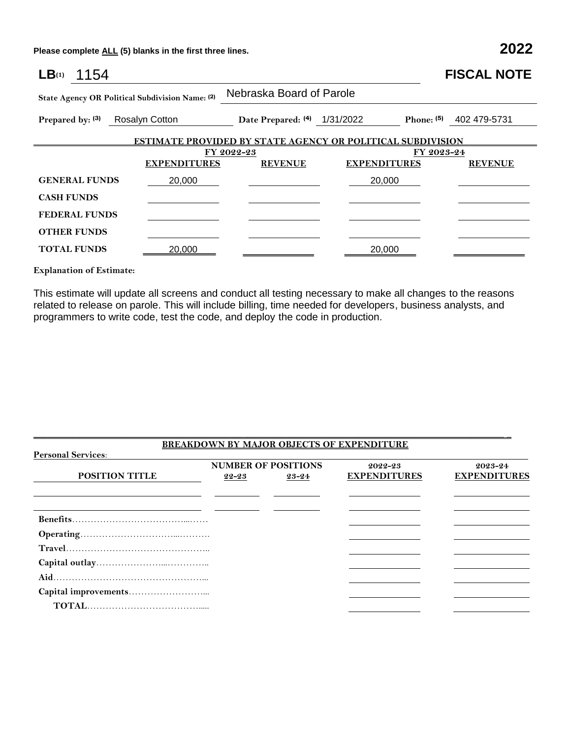**Please complete ALL (5) blanks in the first three lines. 2022**

| 1154<br>LB(1)                                   |                     |                                                                   |                          | <b>FISCAL NOTE</b>         |  |  |  |
|-------------------------------------------------|---------------------|-------------------------------------------------------------------|--------------------------|----------------------------|--|--|--|
| State Agency OR Political Subdivision Name: (2) |                     |                                                                   | Nebraska Board of Parole |                            |  |  |  |
| Prepared by: (3)                                | Rosalyn Cotton      | Date Prepared: (4) 1/31/2022                                      |                          | 402 479-5731<br>Phone: (5) |  |  |  |
|                                                 |                     | <b>ESTIMATE PROVIDED BY STATE AGENCY OR POLITICAL SUBDIVISION</b> |                          |                            |  |  |  |
|                                                 |                     | FY 2022-23                                                        |                          | FY 2023-24                 |  |  |  |
|                                                 | <b>EXPENDITURES</b> | <b>REVENUE</b>                                                    | <b>EXPENDITURES</b>      | <b>REVENUE</b>             |  |  |  |
| <b>GENERAL FUNDS</b>                            | 20,000              |                                                                   | 20,000                   |                            |  |  |  |
| <b>CASH FUNDS</b>                               |                     |                                                                   |                          |                            |  |  |  |
| <b>FEDERAL FUNDS</b>                            |                     |                                                                   |                          |                            |  |  |  |
| <b>OTHER FUNDS</b>                              |                     |                                                                   |                          |                            |  |  |  |
| <b>TOTAL FUNDS</b>                              | 20,000              |                                                                   | 20,000                   |                            |  |  |  |

**Explanation of Estimate:**

This estimate will update all screens and conduct all testing necessary to make all changes to the reasons related to release on parole. This will include billing, time needed for developers, business analysts, and programmers to write code, test the code, and deploy the code in production.

| <b>POSITION TITLE</b> | 22-23 | 23-24 | <b>EXPENDITURES</b> | <b>EXPENDITURES</b> |
|-----------------------|-------|-------|---------------------|---------------------|
|                       |       |       |                     |                     |
|                       |       |       |                     |                     |
|                       |       |       |                     |                     |
|                       |       |       |                     |                     |
|                       |       |       |                     |                     |
|                       |       |       |                     |                     |
|                       |       |       |                     |                     |
|                       |       |       |                     |                     |
|                       |       |       |                     |                     |

 $\mathcal{L}_\mathcal{L} = \{ \mathcal{L}_\mathcal{L} = \{ \mathcal{L}_\mathcal{L} = \{ \mathcal{L}_\mathcal{L} = \{ \mathcal{L}_\mathcal{L} = \{ \mathcal{L}_\mathcal{L} = \{ \mathcal{L}_\mathcal{L} = \{ \mathcal{L}_\mathcal{L} = \{ \mathcal{L}_\mathcal{L} = \{ \mathcal{L}_\mathcal{L} = \{ \mathcal{L}_\mathcal{L} = \{ \mathcal{L}_\mathcal{L} = \{ \mathcal{L}_\mathcal{L} = \{ \mathcal{L}_\mathcal{L} = \{ \mathcal{L}_\mathcal{$